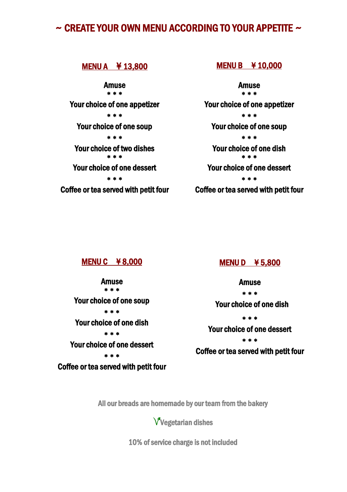# $\sim$  CREATE YOUR OWN MENU ACCORDING TO YOUR APPETITE  $\sim$

MENU A ¥ 13,800 Amuse \* \* \* Your choice of one appetizer \* \* \* Your choice of one soup \* \* \* Your choice of two dishes \* \* \* Your choice of one dessert \* \* \* Coffee or tea served with petit four

#### MENU B ¥ 10,000

Amuse \* \* \* Your choice of one appetizer \* \* \* Your choice of one soup \* \* \* Your choice of one dish \* \* \* Your choice of one dessert \* \* \* Coffee or tea served with petit four

#### MENU C ¥ 8,000

Amuse \* \* \* Your choice of one soup \* \* \* Your choice of one dish \* \* \* Your choice of one dessert \* \* \* Coffee or tea served with petit four

#### MENU D ¥ 5,800

Amuse \* \* \* Your choice of one dish \* \* \* Your choice of one dessert \* \* \* Coffee or tea served with petit four

All our breads are homemade by our team from the bakery

Vegetarian dishes

10% of service charge is not included